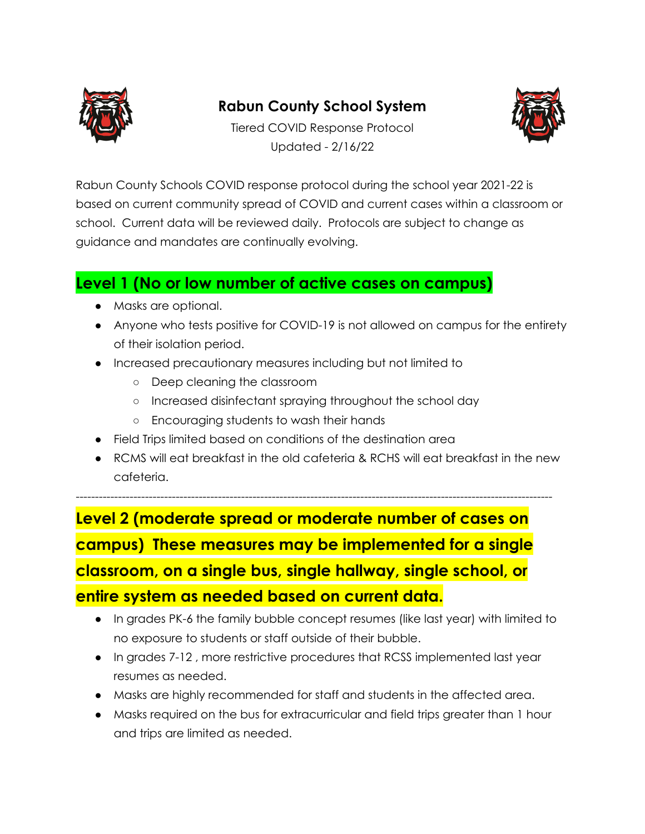

## **Rabun County School System**



Tiered COVID Response Protocol Updated - 2/16/22

Rabun County Schools COVID response protocol during the school year 2021-22 is based on current community spread of COVID and current cases within a classroom or school. Current data will be reviewed daily. Protocols are subject to change as guidance and mandates are continually evolving.

## **Level 1 (No or low number of active cases on campus)**

- Masks are optional.
- Anyone who tests positive for COVID-19 is not allowed on campus for the entirety of their isolation period.
- Increased precautionary measures including but not limited to
	- Deep cleaning the classroom
	- Increased disinfectant spraying throughout the school day
	- Encouraging students to wash their hands
- Field Trips limited based on conditions of the destination area
- RCMS will eat breakfast in the old cafeteria & RCHS will eat breakfast in the new cafeteria.

**Level 2 (moderate spread or moderate number of cases on campus) These measures may be implemented for a single classroom, on a single bus, single hallway, single school, or entire system as needed based on current data.**

----------------------------------------------------------------------------------------------------------------------------

- In grades PK-6 the family bubble concept resumes (like last year) with limited to no exposure to students or staff outside of their bubble.
- In grades 7-12 , more restrictive procedures that RCSS implemented last year resumes as needed.
- Masks are highly recommended for staff and students in the affected area.
- Masks required on the bus for extracurricular and field trips greater than 1 hour and trips are limited as needed.